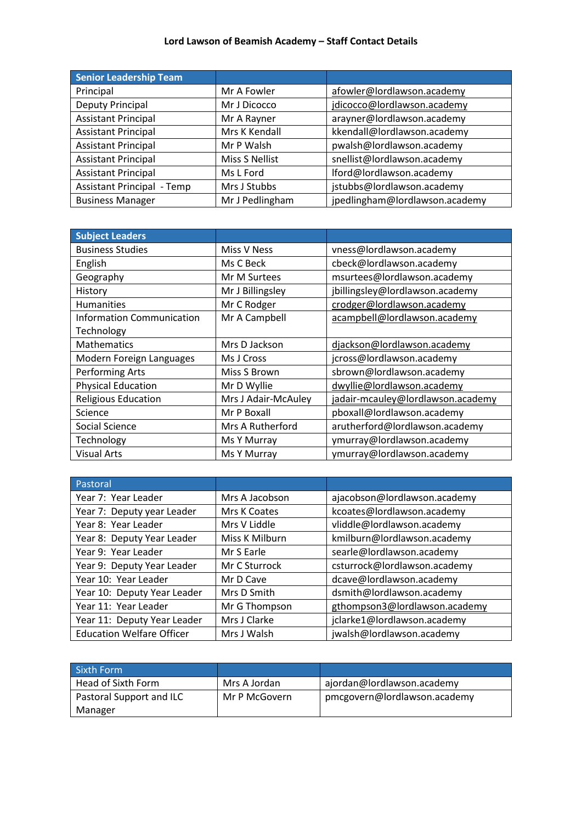| Senior Leadership Team            |                 |                                |
|-----------------------------------|-----------------|--------------------------------|
| Principal                         | Mr A Fowler     | afowler@lordlawson.academy     |
| Deputy Principal                  | Mr J Dicocco    | jdicocco@lordlawson.academy    |
| <b>Assistant Principal</b>        | Mr A Rayner     | arayner@lordlawson.academy     |
| <b>Assistant Principal</b>        | Mrs K Kendall   | kkendall@lordlawson.academy    |
| <b>Assistant Principal</b>        | Mr P Walsh      | pwalsh@lordlawson.academy      |
| <b>Assistant Principal</b>        | Miss S Nellist  | snellist@lordlawson.academy    |
| <b>Assistant Principal</b>        | Ms L Ford       | lford@lordlawson.academy       |
| <b>Assistant Principal - Temp</b> | Mrs J Stubbs    | jstubbs@lordlawson.academy     |
| <b>Business Manager</b>           | Mr J Pedlingham | jpedlingham@lordlawson.academy |

| <b>Subject Leaders</b>           |                     |                                   |
|----------------------------------|---------------------|-----------------------------------|
| <b>Business Studies</b>          | Miss V Ness         | vness@lordlawson.academy          |
| English                          | Ms C Beck           | cbeck@lordlawson.academy          |
| Geography                        | Mr M Surtees        | msurtees@lordlawson.academy       |
| History                          | Mr J Billingsley    | jbillingsley@lordlawson.academy   |
| <b>Humanities</b>                | Mr C Rodger         | crodger@lordlawson.academy        |
| <b>Information Communication</b> | Mr A Campbell       | acampbell@lordlawson.academy      |
| Technology                       |                     |                                   |
| <b>Mathematics</b>               | Mrs D Jackson       | djackson@lordlawson.academy       |
| Modern Foreign Languages         | Ms J Cross          | jcross@lordlawson.academy         |
| Performing Arts                  | Miss S Brown        | sbrown@lordlawson.academy         |
| <b>Physical Education</b>        | Mr D Wyllie         | dwyllie@lordlawson.academy        |
| <b>Religious Education</b>       | Mrs J Adair-McAuley | jadair-mcauley@lordlawson.academy |
| Science                          | Mr P Boxall         | pboxall@lordlawson.academy        |
| Social Science                   | Mrs A Rutherford    | arutherford@lordlawson.academy    |
| Technology                       | Ms Y Murray         | ymurray@lordlawson.academy        |
| <b>Visual Arts</b>               | Ms Y Murray         | ymurray@lordlawson.academy        |

| Pastoral                         |                |                               |
|----------------------------------|----------------|-------------------------------|
| Year 7: Year Leader              | Mrs A Jacobson | ajacobson@lordlawson.academy  |
| Year 7: Deputy year Leader       | Mrs K Coates   | kcoates@lordlawson.academy    |
| Year 8: Year Leader              | Mrs V Liddle   | vliddle@lordlawson.academy    |
| Year 8: Deputy Year Leader       | Miss K Milburn | kmilburn@lordlawson.academy   |
| Year 9: Year Leader              | Mr S Earle     | searle@lordlawson.academy     |
| Year 9: Deputy Year Leader       | Mr C Sturrock  | csturrock@lordlawson.academy  |
| Year 10: Year Leader             | Mr D Cave      | dcave@lordlawson.academy      |
| Year 10: Deputy Year Leader      | Mrs D Smith    | dsmith@lordlawson.academy     |
| Year 11: Year Leader             | Mr G Thompson  | gthompson3@lordlawson.academy |
| Year 11: Deputy Year Leader      | Mrs J Clarke   | jclarke1@lordlawson.academy   |
| <b>Education Welfare Officer</b> | Mrs J Walsh    | jwalsh@lordlawson.academy     |

| Sixth Form               |               |                              |
|--------------------------|---------------|------------------------------|
| Head of Sixth Form       | Mrs A Jordan  | ajordan@lordlawson.academy   |
| Pastoral Support and ILC | Mr P McGovern | pmcgovern@lordlawson.academy |
| Manager                  |               |                              |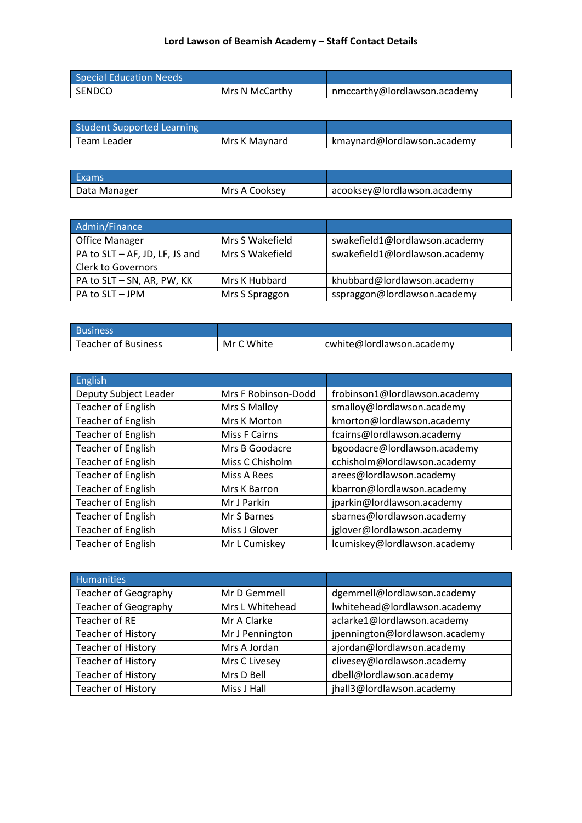| Special Education Needs |                |                              |
|-------------------------|----------------|------------------------------|
| SENDCO                  | Mrs N McCarthy | nmccarthy@lordlawson.academy |

| <b>Student Supported Learning</b> |               |                             |
|-----------------------------------|---------------|-----------------------------|
| Team Leader                       | Mrs K Maynard | kmaynard@lordlawson.academy |

| Exams        |               |                             |
|--------------|---------------|-----------------------------|
| Data Manager | Mrs A Cooksey | acooksey@lordlawson.academy |

| Admin/Finance                  |                 |                                |
|--------------------------------|-----------------|--------------------------------|
| <b>Office Manager</b>          | Mrs S Wakefield | swakefield1@lordlawson.academy |
| PA to SLT - AF, JD, LF, JS and | Mrs S Wakefield | swakefield1@lordlawson.academy |
| <b>Clerk to Governors</b>      |                 |                                |
| PA to SLT - SN, AR, PW, KK     | Mrs K Hubbard   | khubbard@lordlawson.academy    |
| PA to SLT - JPM                | Mrs S Spraggon  | sspraggon@lordlawson.academy   |

| <b>Business</b>     |            |                           |
|---------------------|------------|---------------------------|
| Teacher of Business | Mr C White | cwhite@lordlawson.academy |

| <b>English</b>            |                      |                               |
|---------------------------|----------------------|-------------------------------|
| Deputy Subject Leader     | Mrs F Robinson-Dodd  | frobinson1@lordlawson.academy |
| <b>Teacher of English</b> | Mrs S Malloy         | smalloy@lordlawson.academy    |
| <b>Teacher of English</b> | Mrs K Morton         | kmorton@lordlawson.academy    |
| <b>Teacher of English</b> | <b>Miss F Cairns</b> | fcairns@lordlawson.academy    |
| <b>Teacher of English</b> | Mrs B Goodacre       | bgoodacre@lordlawson.academy  |
| <b>Teacher of English</b> | Miss C Chisholm      | cchisholm@lordlawson.academy  |
| <b>Teacher of English</b> | Miss A Rees          | arees@lordlawson.academy      |
| <b>Teacher of English</b> | Mrs K Barron         | kbarron@lordlawson.academy    |
| <b>Teacher of English</b> | Mr J Parkin          | jparkin@lordlawson.academy    |
| <b>Teacher of English</b> | Mr S Barnes          | sbarnes@lordlawson.academy    |
| <b>Teacher of English</b> | Miss J Glover        | jglover@lordlawson.academy    |
| <b>Teacher of English</b> | Mr L Cumiskey        | lcumiskey@lordlawson.academy  |

| Humanities                  |                 |                                |
|-----------------------------|-----------------|--------------------------------|
| <b>Teacher of Geography</b> | Mr D Gemmell    | dgemmell@lordlawson.academy    |
| <b>Teacher of Geography</b> | Mrs L Whitehead | lwhitehead@lordlawson.academy  |
| Teacher of RE               | Mr A Clarke     | aclarke1@lordlawson.academy    |
| <b>Teacher of History</b>   | Mr J Pennington | jpennington@lordlawson.academy |
| Teacher of History          | Mrs A Jordan    | ajordan@lordlawson.academy     |
| Teacher of History          | Mrs C Livesey   | clivesey@lordlawson.academy    |
| Teacher of History          | Mrs D Bell      | dbell@lordlawson.academy       |
| Teacher of History          | Miss J Hall     | jhall3@lordlawson.academy      |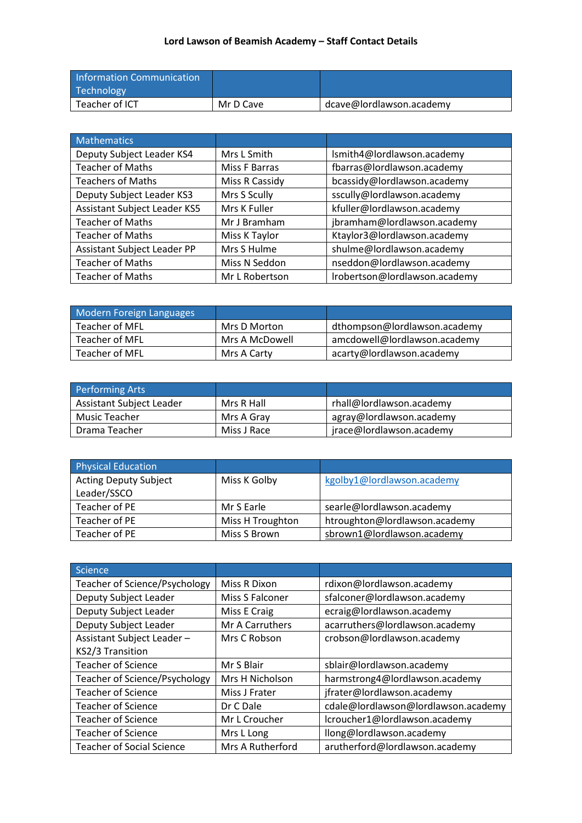| <b>Information Communication</b><br>Technology |           |                          |
|------------------------------------------------|-----------|--------------------------|
| Teacher of ICT                                 | Mr D Cave | dcave@lordlawson.academy |

| <b>Mathematics</b>           |                |                               |
|------------------------------|----------------|-------------------------------|
| Deputy Subject Leader KS4    | Mrs L Smith    | Ismith4@lordlawson.academy    |
| <b>Teacher of Maths</b>      | Miss F Barras  | fbarras@lordlawson.academy    |
| <b>Teachers of Maths</b>     | Miss R Cassidy | bcassidy@lordlawson.academy   |
| Deputy Subject Leader KS3    | Mrs S Scully   | sscully@lordlawson.academy    |
| Assistant Subject Leader KS5 | Mrs K Fuller   | kfuller@lordlawson.academy    |
| <b>Teacher of Maths</b>      | Mr J Bramham   | jbramham@lordlawson.academy   |
| <b>Teacher of Maths</b>      | Miss K Taylor  | Ktaylor3@lordlawson.academy   |
| Assistant Subject Leader PP  | Mrs S Hulme    | shulme@lordlawson.academy     |
| <b>Teacher of Maths</b>      | Miss N Seddon  | nseddon@lordlawson.academy    |
| <b>Teacher of Maths</b>      | Mr L Robertson | Irobertson@lordlawson.academy |

| Modern Foreign Languages |                |                              |
|--------------------------|----------------|------------------------------|
| Teacher of MFL           | Mrs D Morton   | dthompson@lordlawson.academy |
| Teacher of MFL           | Mrs A McDowell | amcdowell@lordlawson.academy |
| Teacher of MFL           | Mrs A Carty    | acarty@lordlawson.academy    |

| <b>Performing Arts</b>   |             |                          |
|--------------------------|-------------|--------------------------|
| Assistant Subject Leader | Mrs R Hall  | rhall@lordlawson.academy |
| Music Teacher            | Mrs A Gray  | agray@lordlawson.academy |
| Drama Teacher            | Miss J Race | jrace@lordlawson.academy |

| <b>Physical Education</b>    |                  |                               |
|------------------------------|------------------|-------------------------------|
| <b>Acting Deputy Subject</b> | Miss K Golby     | kgolby1@lordlawson.academy    |
| Leader/SSCO                  |                  |                               |
| Teacher of PE                | Mr S Earle       | searle@lordlawson.academy     |
| Teacher of PE                | Miss H Troughton | htroughton@lordlawson.academy |
| Teacher of PE                | Miss S Brown     | sbrown1@lordlawson.academy    |

| Science,                         |                  |                                     |
|----------------------------------|------------------|-------------------------------------|
| Teacher of Science/Psychology    | Miss R Dixon     | rdixon@lordlawson.academy           |
| Deputy Subject Leader            | Miss S Falconer  | sfalconer@lordlawson.academy        |
| Deputy Subject Leader            | Miss E Craig     | ecraig@lordlawson.academy           |
| Deputy Subject Leader            | Mr A Carruthers  | acarruthers@lordlawson.academy      |
| Assistant Subject Leader-        | Mrs C Robson     | crobson@lordlawson.academy          |
| KS2/3 Transition                 |                  |                                     |
| <b>Teacher of Science</b>        | Mr S Blair       | sblair@lordlawson.academy           |
| Teacher of Science/Psychology    | Mrs H Nicholson  | harmstrong4@lordlawson.academy      |
| <b>Teacher of Science</b>        | Miss J Frater    | jfrater@lordlawson.academy          |
| Teacher of Science               | Dr C Dale        | cdale@lordlawson@lordlawson.academy |
| <b>Teacher of Science</b>        | Mr L Croucher    | lcroucher1@lordlawson.academy       |
| <b>Teacher of Science</b>        | Mrs L Long       | llong@lordlawson.academy            |
| <b>Teacher of Social Science</b> | Mrs A Rutherford | arutherford@lordlawson.academy      |